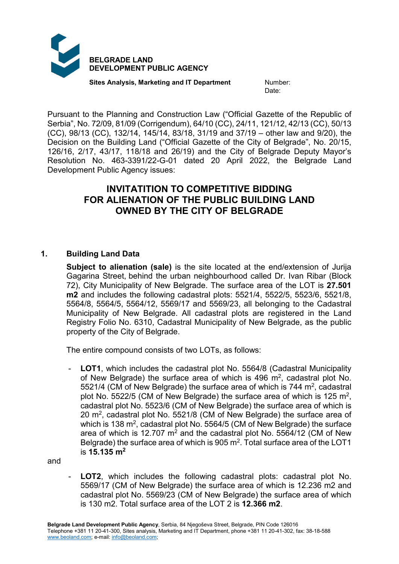

**Sites Analysis, Marketing and IT Department** Number:

Date:

Pursuant to the Planning and Construction Law ("Official Gazette of the Republic of Serbia", No. 72/09, 81/09 (Corrigendum), 64/10 (CC), 24/11, 121/12, 42/13 (CC), 50/13 (CC), 98/13 (CC), 132/14, 145/14, 83/18, 31/19 and 37/19 – other law and 9/20), the Decision on the Building Land ("Official Gazette of the City of Belgrade", No. 20/15, 126/16, 2/17, 43/17, 118/18 and 26/19) and the City of Belgrade Deputy Mayor's Resolution No. 463-3391/22-G-01 dated 20 April 2022, the Belgrade Land Development Public Agency issues:

# **INVITATITION TO COMPETITIVE BIDDING FOR ALIENATION OF THE PUBLIC BUILDING LAND OWNED BY THE CITY OF BELGRADE**

## **1. Building Land Data**

**Subject to alienation (sale)** is the site located at the end/extension of Jurija Gagarina Street, behind the urban neighbourhood called Dr. Ivan Ribar (Block 72), City Municipality of New Belgrade. The surface area of the LOT is **27.501 m2** and includes the following cadastral plots: 5521/4, 5522/5, 5523/6, 5521/8, 5564/8, 5564/5, 5564/12, 5569/17 and 5569/23, all belonging to the Cadastral Municipality of New Belgrade. All cadastral plots are registered in the Land Registry Folio No. 6310, Cadastral Municipality of New Belgrade, as the public property of the City of Belgrade.

The entire compound consists of two LOTs, as follows:

**LOT1**, which includes the cadastral plot No. 5564/8 (Cadastral Municipality of New Belgrade) the surface area of which is  $496 \text{ m}^2$ , cadastral plot No. 5521/4 (CM of New Belgrade) the surface area of which is 744 m<sup>2</sup>, cadastral plot No. 5522/5 (CM of New Belgrade) the surface area of which is 125 m<sup>2</sup>, cadastral plot No. 5523/6 (CM of New Belgrade) the surface area of which is 20 m2, cadastral plot No. 5521/8 (CM of New Belgrade) the surface area of which is 138  $m^2$ , cadastral plot No. 5564/5 (CM of New Belgrade) the surface area of which is 12.707  $m^2$  and the cadastral plot No. 5564/12 (CM of New Belgrade) the surface area of which is 905 m2. Total surface area of the LOT1 is **15.135 m2**

and

**LOT2**, which includes the following cadastral plots: cadastral plot No. 5569/17 (CM of New Belgrade) the surface area of which is 12.236 m2 and cadastral plot No. 5569/23 (CM of New Belgrade) the surface area of which is 130 m2. Total surface area of the LOT 2 is **12.366 m2**.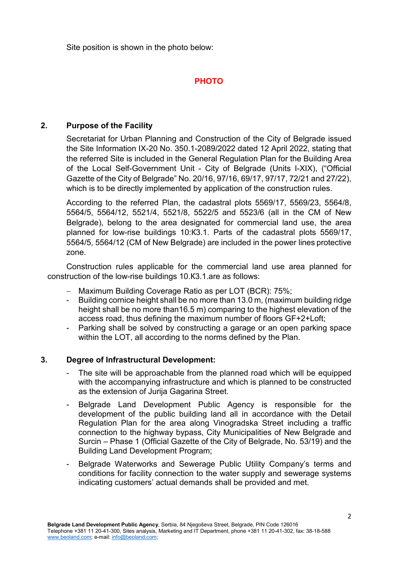Site position is shown in the photo below:

## **PHOTO**

## **2. Purpose of the Facility**

Secretariat for Urban Planning and Construction of the City of Belgrade issued the Site Information IХ-20 No. 350.1-2089/2022 dated 12 April 2022, stating that the referred Site is included in the General Regulation Plan for the Building Area of the Local Self-Government Unit - City of Belgrade (Units I-XIX), ("Official Gazette of the City of Belgrade" No. 20/16, 97/16, 69/17, 97/17, 72/21 and 27/22), which is to be directly implemented by application of the construction rules.

According to the referred Plan, the cadastral plots 5569/17, 5569/23, 5564/8, 5564/5, 5564/12, 5521/4, 5521/8, 5522/5 and 5523/6 (all in the CM of New Belgrade), belong to the area designated for commercial land use, the area planned for low-rise buildings 10:К3.1. Parts of the cadastral plots 5569/17, 5564/5, 5564/12 (CM of New Belgrade) are included in the power lines protective zone.

Construction rules applicable for the commercial land use area planned for construction of the low-rise buildings 10.К3.1.are as follows:

- − Maximum Building Coverage Ratio as per LOT (BCR): 75%;
- Building cornice height shall be no more than 13.0 m, (maximum building ridge height shall be no more than16.5 m) comparing to the highest elevation of the access road, thus defining the maximum number of floors GF+2+Loft;
- Parking shall be solved by constructing a garage or an open parking space within the LOT, all according to the norms defined by the Plan.

## **3. Degree of Infrastructural Development:**

- The site will be approachable from the planned road which will be equipped with the accompanying infrastructure and which is planned to be constructed as the extension of Jurija Gagarina Street.
- Belgrade Land Development Public Agency is responsible for the development of the public building land all in accordance with the Detail Regulation Plan for the area along Vinogradska Street including a traffic connection to the highway bypass, City Municipalities of New Belgrade and Surcin – Phase 1 (Official Gazette of the City of Belgrade, No. 53/19) and the Building Land Development Program;
- Belgrade Waterworks and Sewerage Public Utility Company's terms and conditions for facility connection to the water supply and sewerage systems indicating customers' actual demands shall be provided and met.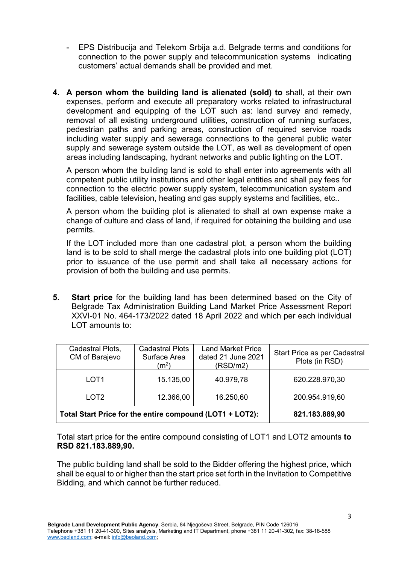- EPS Distribucija and Telekom Srbija a.d. Belgrade terms and conditions for connection to the power supply and telecommunication systems indicating customers' actual demands shall be provided and met.
- **4. A person whom the building land is alienated (sold) to** shall, at their own expenses, perform and execute all preparatory works related to infrastructural development and equipping of the LOT such as: land survey and remedy, removal of all existing underground utilities, construction of running surfaces, pedestrian paths and parking areas, construction of required service roads including water supply and sewerage connections to the general public water supply and sewerage system outside the LOT, as well as development of open areas including landscaping, hydrant networks and public lighting on the LOT.

A person whom the building land is sold to shall enter into agreements with all competent public utility institutions and other legal entities and shall pay fees for connection to the electric power supply system, telecommunication system and facilities, cable television, heating and gas supply systems and facilities, etc..

A person whom the building plot is alienated to shall at own expense make a change of culture and class of land, if required for obtaining the building and use permits.

If the LOT included more than one cadastral plot, a person whom the building land is to be sold to shall merge the cadastral plots into one building plot (LOT) prior to issuance of the use permit and shall take all necessary actions for provision of both the building and use permits.

**5. Start price** for the building land has been determined based on the City of Belgrade Tax Administration Building Land Market Price Assessment Report XXVI-01 No. 464-173/2022 dated 18 April 2022 and which per each individual LOT amounts to:

| Cadastral Plots,<br>CM of Barajevo                       | <b>Cadastral Plots</b><br>Surface Area<br>(m <sup>2</sup> ) | <b>Land Market Price</b><br>dated 21 June 2021<br>(RSD/m2) | Start Price as per Cadastral<br>Plots (in RSD) |
|----------------------------------------------------------|-------------------------------------------------------------|------------------------------------------------------------|------------------------------------------------|
| LOT <sub>1</sub>                                         | 15.135,00                                                   | 40.979,78                                                  | 620.228.970,30                                 |
| LOT <sub>2</sub>                                         | 12.366,00                                                   | 16.250,60                                                  | 200.954.919,60                                 |
| Total Start Price for the entire compound (LOT1 + LOT2): |                                                             |                                                            | 821.183.889,90                                 |

Total start price for the entire compound consisting of LOT1 and LOT2 amounts **to RSD 821.183.889,90.**

The public building land shall be sold to the Bidder offering the highest price, which shall be equal to or higher than the start price set forth in the Invitation to Competitive Bidding, and which cannot be further reduced.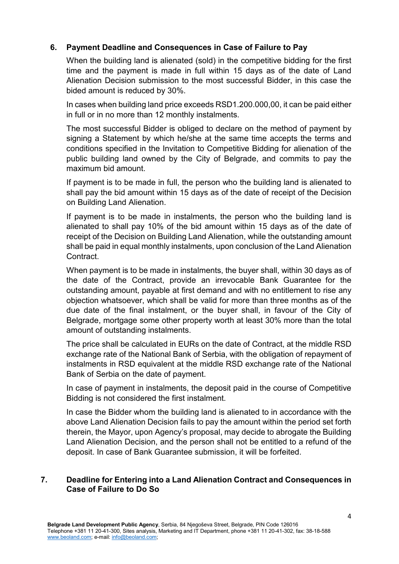## **6. Payment Deadline and Consequences in Case of Failure to Pay**

When the building land is alienated (sold) in the competitive bidding for the first time and the payment is made in full within 15 days as of the date of Land Alienation Decision submission to the most successful Bidder, in this case the bided amount is reduced by 30%.

In cases when building land price exceeds RSD1.200.000,00, it can be paid either in full or in no more than 12 monthly instalments.

The most successful Bidder is obliged to declare on the method of payment by signing a Statement by which he/she at the same time accepts the terms and conditions specified in the Invitation to Competitive Bidding for alienation of the public building land owned by the City of Belgrade, and commits to pay the maximum bid amount.

If payment is to be made in full, the person who the building land is alienated to shall pay the bid amount within 15 days as of the date of receipt of the Decision on Building Land Alienation.

If payment is to be made in instalments, the person who the building land is alienated to shall pay 10% of the bid amount within 15 days as of the date of receipt of the Decision on Building Land Alienation, while the outstanding amount shall be paid in equal monthly instalments, upon conclusion of the Land Alienation Contract.

When payment is to be made in instalments, the buyer shall, within 30 days as of the date of the Contract, provide an irrevocable Bank Guarantee for the outstanding amount, payable at first demand and with no entitlement to rise any objection whatsoever, which shall be valid for more than three months as of the due date of the final instalment, or the buyer shall, in favour of the City of Belgrade, mortgage some other property worth at least 30% more than the total amount of outstanding instalments.

The price shall be calculated in EURs on the date of Contract, at the middle RSD exchange rate of the National Bank of Serbia, with the obligation of repayment of instalments in RSD equivalent at the middle RSD exchange rate of the National Bank of Serbia on the date of payment.

In case of payment in instalments, the deposit paid in the course of Competitive Bidding is not considered the first instalment.

In case the Bidder whom the building land is alienated to in accordance with the above Land Alienation Decision fails to pay the amount within the period set forth therein, the Mayor, upon Agency's proposal, may decide to abrogate the Building Land Alienation Decision, and the person shall not be entitled to a refund of the deposit. In case of Bank Guarantee submission, it will be forfeited.

## **7. Deadline for Entering into a Land Alienation Contract and Consequences in Case of Failure to Do So**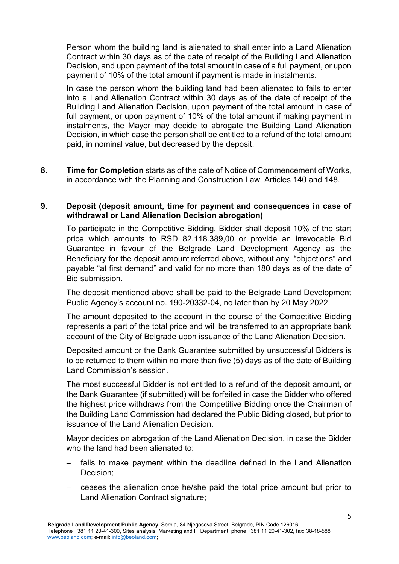Person whom the building land is alienated to shall enter into a Land Alienation Contract within 30 days as of the date of receipt of the Building Land Alienation Decision, and upon payment of the total amount in case of a full payment, or upon payment of 10% of the total amount if payment is made in instalments.

In case the person whom the building land had been alienated to fails to enter into a Land Alienation Contract within 30 days as of the date of receipt of the Building Land Alienation Decision, upon payment of the total amount in case of full payment, or upon payment of 10% of the total amount if making payment in instalments, the Mayor may decide to abrogate the Building Land Alienation Decision, in which case the person shall be entitled to a refund of the total amount paid, in nominal value, but decreased by the deposit.

**8. Time for Completion** starts as of the date of Notice of Commencement of Works, in accordance with the Planning and Construction Law, Articles 140 and 148.

#### **9. Deposit (deposit amount, time for payment and consequences in case of withdrawal or Land Alienation Decision abrogation)**

To participate in the Competitive Bidding, Bidder shall deposit 10% of the start price which amounts to RSD 82.118.389,00 or provide an irrevocable Bid Guarantee in favour of the Belgrade Land Development Agency as the Beneficiary for the deposit amount referred above, without any "objections" and payable "at first demand" and valid for no more than 180 days as of the date of Bid submission.

The deposit mentioned above shall be paid to the Belgrade Land Development Public Agency's account no. 190-20332-04, no later than by 20 May 2022.

The amount deposited to the account in the course of the Competitive Bidding represents a part of the total price and will be transferred to an appropriate bank account of the City of Belgrade upon issuance of the Land Alienation Decision.

Deposited amount or the Bank Guarantee submitted by unsuccessful Bidders is to be returned to them within no more than five (5) days as of the date of Building Land Commission's session.

The most successful Bidder is not entitled to a refund of the deposit amount, or the Bank Guarantee (if submitted) will be forfeited in case the Bidder who offered the highest price withdraws from the Competitive Bidding once the Chairman of the Building Land Commission had declared the Public Biding closed, but prior to issuance of the Land Alienation Decision.

Mayor decides on abrogation of the Land Alienation Decision, in case the Bidder who the land had been alienated to:

- fails to make payment within the deadline defined in the Land Alienation Decision;
- − ceases the alienation once he/she paid the total price amount but prior to Land Alienation Contract signature;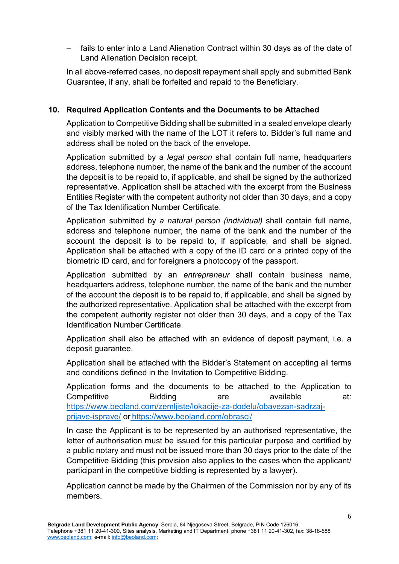fails to enter into a Land Alienation Contract within 30 days as of the date of Land Alienation Decision receipt.

In all above-referred cases, no deposit repayment shall apply and submitted Bank Guarantee, if any, shall be forfeited and repaid to the Beneficiary.

#### **10. Required Application Contents and the Documents to be Attached**

Application to Competitive Bidding shall be submitted in a sealed envelope clearly and visibly marked with the name of the LOT it refers to. Bidder's full name and address shall be noted on the back of the envelope.

Application submitted by a *legal person* shall contain full name, headquarters address, telephone number, the name of the bank and the number of the account the deposit is to be repaid to, if applicable, and shall be signed by the authorized representative. Application shall be attached with the excerpt from the Business Entities Register with the competent authority not older than 30 days, and a copy of the Tax Identification Number Certificate.

Application submitted by *a natural person (individual)* shall contain full name, address and telephone number, the name of the bank and the number of the account the deposit is to be repaid to, if applicable, and shall be signed. Application shall be attached with a copy of the ID card or a printed copy of the biometric ID card, and for foreigners a photocopy of the passport.

Application submitted by an *entrepreneur* shall contain business name, headquarters address, telephone number, the name of the bank and the number of the account the deposit is to be repaid to, if applicable, and shall be signed by the authorized representative. Application shall be attached with the excerpt from the competent authority register not older than 30 days, and a copy of the Tax Identification Number Certificate.

Application shall also be attached with an evidence of deposit payment, i.e. a deposit guarantee.

Application shall be attached with the Bidder's Statement on accepting all terms and conditions defined in the Invitation to Competitive Bidding.

Application forms and the documents to be attached to the Application to Competitive Bidding are available at: [https://www.beoland.com/zemljiste/lokacije-za-dodelu/obavezan-sadrzaj](https://www.beoland.com/zemljiste/lokacije-za-dodelu/obavezan-sadrzaj-prijave-isprave/)[prijave-isprave/](https://www.beoland.com/zemljiste/lokacije-za-dodelu/obavezan-sadrzaj-prijave-isprave/) or <https://www.beoland.com/obrasci/>

In case the Applicant is to be represented by an authorised representative, the letter of authorisation must be issued for this particular purpose and certified by a public notary and must not be issued more than 30 days prior to the date of the Competitive Bidding (this provision also applies to the cases when the applicant/ participant in the competitive bidding is represented by a lawyer).

Application cannot be made by the Chairmen of the Commission nor by any of its members.